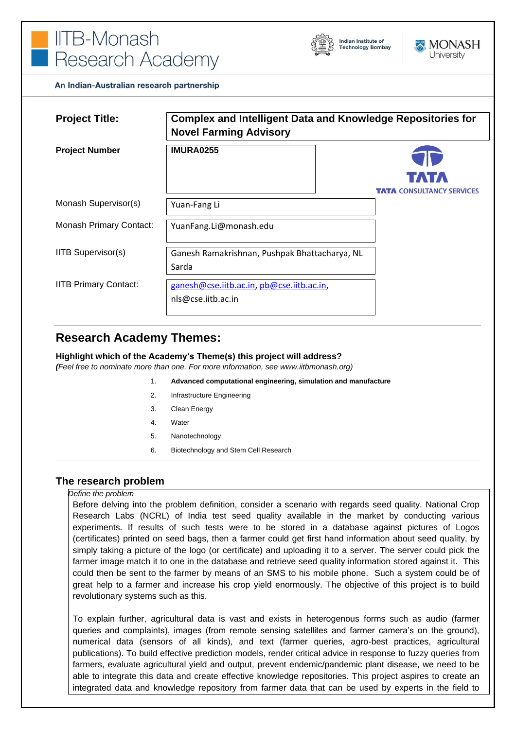



An Indian-Australian research partnership

| <b>Project Title:</b>          | <b>Complex and Intelligent Data and Knowledge Repositories for</b><br><b>Novel Farming Advisory</b> |                                  |
|--------------------------------|-----------------------------------------------------------------------------------------------------|----------------------------------|
| <b>Project Number</b>          | <b>IMURA0255</b>                                                                                    |                                  |
|                                |                                                                                                     | <b>TATTA</b>                     |
|                                |                                                                                                     | <b>TATA CONSULTANCY SERVICES</b> |
| Monash Supervisor(s)           | Yuan-Fang Li                                                                                        |                                  |
| <b>Monash Primary Contact:</b> | YuanFang.Li@monash.edu                                                                              |                                  |
| <b>IITB Supervisor(s)</b>      | Ganesh Ramakrishnan, Pushpak Bhattacharya, NL                                                       |                                  |
|                                | Sarda                                                                                               |                                  |
| <b>IITB Primary Contact:</b>   | ganesh@cse.iitb.ac.in, pb@cse.iitb.ac.in,                                                           |                                  |
|                                | nls@cse.iitb.ac.in                                                                                  |                                  |

# **Research Academy Themes:**

#### **Highlight which of the Academy's Theme(s) this project will address?**

*(Feel free to nominate more than one. For more information, see www.iitbmonash.org)*

- 1. **Advanced computational engineering, simulation and manufacture**
- 2. Infrastructure Engineering
- 3. Clean Energy
- 4. Water
- 5. Nanotechnology
- 6. Biotechnology and Stem Cell Research

#### **The research problem**

#### *Define the problem*

Before delving into the problem definition, consider a scenario with regards seed quality. National Crop Research Labs (NCRL) of India test seed quality available in the market by conducting various experiments. If results of such tests were to be stored in a database against pictures of Logos (certificates) printed on seed bags, then a farmer could get first hand information about seed quality, by simply taking a picture of the logo (or certificate) and uploading it to a server. The server could pick the farmer image match it to one in the database and retrieve seed quality information stored against it. This could then be sent to the farmer by means of an SMS to his mobile phone. Such a system could be of great help to a farmer and increase his crop yield enormously. The objective of this project is to build revolutionary systems such as this.

To explain further, agricultural data is vast and exists in heterogenous forms such as audio (farmer queries and complaints), images (from remote sensing satellites and farmer camera's on the ground), numerical data (sensors of all kinds), and text (farmer queries, agro-best practices, agricultural publications). To build effective prediction models, render critical advice in response to fuzzy queries from farmers, evaluate agricultural yield and output, prevent endemic/pandemic plant disease, we need to be able to integrate this data and create effective knowledge repositories. This project aspires to create an integrated data and knowledge repository from farmer data that can be used by experts in the field to